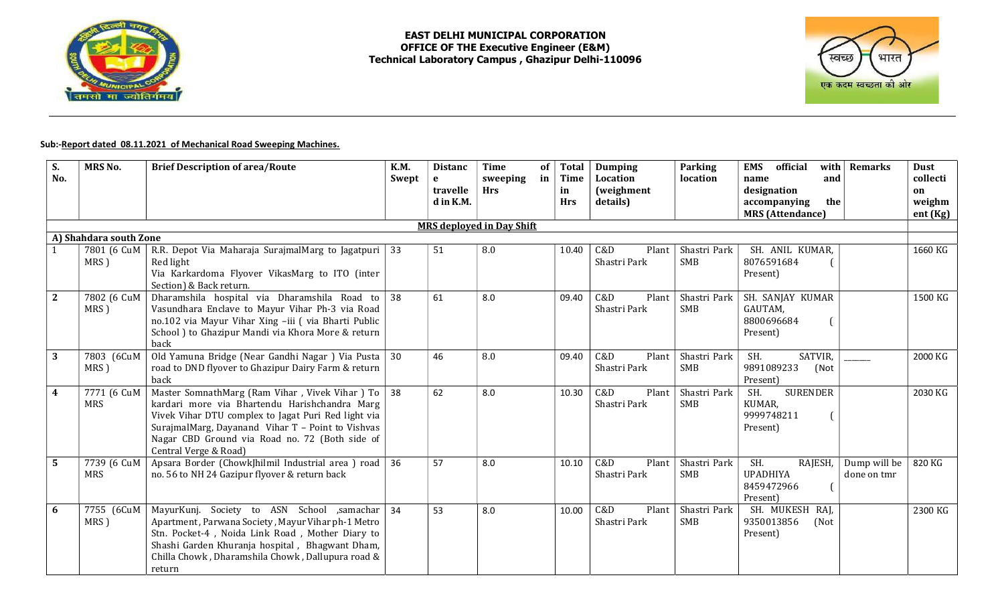



## Sub:-Report dated 08.11.2021 of Mechanical Road Sweeping Machines.

| S.<br>No.              | <b>MRS No.</b>            | <b>Brief Description of area/Route</b>                                                                                                                                                                                                                                                 | <b>K.M.</b><br>Swept | <b>Distanc</b><br>$\mathbf{e}$<br>travelle<br>d in K.M. | <b>Time</b><br>sweeping<br><b>Hrs</b> | of<br><b>Total</b><br>in<br><b>Time</b><br>in<br><b>Hrs</b> | <b>Dumping</b><br>Location<br><i>(weighment</i><br>details) | Parking<br>location        | <b>EMS</b><br>official<br>and<br>name<br>designation<br>the<br>accompanying<br><b>MRS</b> (Attendance) | with $\vert$ Remarks        | <b>Dust</b><br>collecti<br>on<br>weighm<br>ent (Kg) |
|------------------------|---------------------------|----------------------------------------------------------------------------------------------------------------------------------------------------------------------------------------------------------------------------------------------------------------------------------------|----------------------|---------------------------------------------------------|---------------------------------------|-------------------------------------------------------------|-------------------------------------------------------------|----------------------------|--------------------------------------------------------------------------------------------------------|-----------------------------|-----------------------------------------------------|
|                        |                           |                                                                                                                                                                                                                                                                                        |                      |                                                         | <b>MRS</b> deployed in Day Shift      |                                                             |                                                             |                            |                                                                                                        |                             |                                                     |
| A) Shahdara south Zone |                           |                                                                                                                                                                                                                                                                                        |                      |                                                         |                                       |                                                             |                                                             |                            |                                                                                                        |                             |                                                     |
|                        | 7801 (6 CuM<br>MRS)       | R.R. Depot Via Maharaja SurajmalMarg to Jagatpuri<br>Red light<br>Via Karkardoma Flyover VikasMarg to ITO (inter<br>Section) & Back return.                                                                                                                                            | 33                   | 51                                                      | 8.0                                   | 10.40                                                       | C&D<br>Plant<br>Shastri Park                                | Shastri Park<br><b>SMB</b> | SH. ANIL KUMAR,<br>8076591684<br>Present)                                                              |                             | 1660 KG                                             |
| $\mathbf{2}$           | 7802 (6 CuM<br>MRS)       | Dharamshila hospital via Dharamshila Road to<br>Vasundhara Enclave to Mayur Vihar Ph-3 via Road<br>no.102 via Mayur Vihar Xing -iii (via Bharti Public<br>School) to Ghazipur Mandi via Khora More & return<br>back                                                                    | 38                   | 61                                                      | 8.0                                   | 09.40                                                       | C&D<br>Plant<br>Shastri Park                                | Shastri Park<br>SMB        | SH. SANJAY KUMAR<br>GAUTAM,<br>8800696684<br>Present)                                                  |                             | 1500 KG                                             |
| 3                      | 7803 (6CuM<br>MRS)        | Old Yamuna Bridge (Near Gandhi Nagar) Via Pusta<br>road to DND flyover to Ghazipur Dairy Farm & return<br>back                                                                                                                                                                         | 30                   | 46                                                      | 8.0                                   | 09.40                                                       | C&D<br>Plant<br>Shastri Park                                | Shastri Park<br>SMB        | SATVIR,<br>SH.<br>9891089233<br>(Not<br>Present)                                                       |                             | 2000 KG                                             |
| $\overline{4}$         | 7771 (6 CuM<br>MRS        | Master SomnathMarg (Ram Vihar, Vivek Vihar) To<br>kardari more via Bhartendu Harishchandra Marg<br>Vivek Vihar DTU complex to Jagat Puri Red light via<br>SurajmalMarg, Dayanand Vihar T - Point to Vishvas<br>Nagar CBD Ground via Road no. 72 (Both side of<br>Central Verge & Road) | 38                   | 62                                                      | 8.0                                   | 10.30                                                       | C&D<br>Plant<br>Shastri Park                                | Shastri Park<br>SMB        | <b>SURENDER</b><br>SH.<br>KUMAR,<br>9999748211<br>Present)                                             |                             | 2030 KG                                             |
| 5                      | 7739 (6 CuM<br><b>MRS</b> | Apsara Border (ChowkJhilmil Industrial area) road<br>no. 56 to NH 24 Gazipur flyover & return back                                                                                                                                                                                     | 36                   | 57                                                      | 8.0                                   | 10.10                                                       | C&D<br>Plant<br>Shastri Park                                | Shastri Park<br><b>SMB</b> | SH.<br>RAJESH,<br><b>UPADHIYA</b><br>8459472966<br>Present)                                            | Dump will be<br>done on tmr | 820 KG                                              |
| 6                      | 7755 (6CuM<br>MRS)        | MayurKunj. Society to ASN School ,samachar<br>Apartment, Parwana Society, Mayur Vihar ph-1 Metro<br>Stn. Pocket-4, Noida Link Road, Mother Diary to<br>Shashi Garden Khuranja hospital, Bhagwant Dham,<br>Chilla Chowk, Dharamshila Chowk, Dallupura road &<br>return                  | 34                   | 53                                                      | 8.0                                   | 10.00                                                       | C&D<br>Plant<br>Shastri Park                                | Shastri Park<br><b>SMB</b> | SH. MUKESH RAJ,<br>9350013856<br>(Not<br>Present)                                                      |                             | 2300 KG                                             |